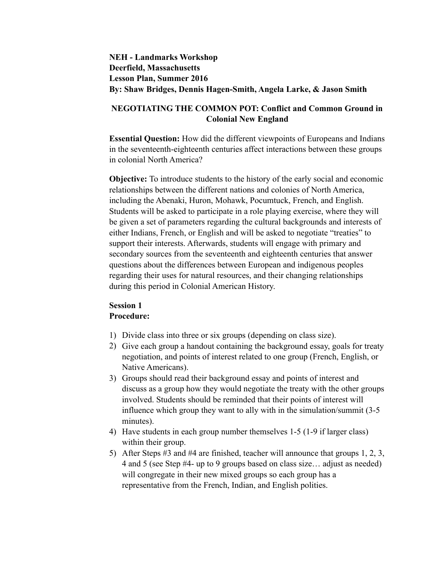## **NEH - Landmarks Workshop Deerfield, Massachusetts Lesson Plan, Summer 2016 By: Shaw Bridges, Dennis Hagen-Smith, Angela Larke, & Jason Smith**

## **NEGOTIATING THE COMMON POT: Conflict and Common Ground in Colonial New England**

**Essential Question:** How did the different viewpoints of Europeans and Indians in the seventeenth-eighteenth centuries affect interactions between these groups in colonial North America?

**Objective:** To introduce students to the history of the early social and economic relationships between the different nations and colonies of North America, including the Abenaki, Huron, Mohawk, Pocumtuck, French, and English. Students will be asked to participate in a role playing exercise, where they will be given a set of parameters regarding the cultural backgrounds and interests of either Indians, French, or English and will be asked to negotiate "treaties" to support their interests. Afterwards, students will engage with primary and secondary sources from the seventeenth and eighteenth centuries that answer questions about the differences between European and indigenous peoples regarding their uses for natural resources, and their changing relationships during this period in Colonial American History.

## **Session 1 Procedure:**

- 1) Divide class into three or six groups (depending on class size).
- 2) Give each group a handout containing the background essay, goals for treaty negotiation, and points of interest related to one group (French, English, or Native Americans).
- 3) Groups should read their background essay and points of interest and discuss as a group how they would negotiate the treaty with the other groups involved. Students should be reminded that their points of interest will influence which group they want to ally with in the simulation/summit (3-5 minutes).
- 4) Have students in each group number themselves 1-5 (1-9 if larger class) within their group.
- 5) After Steps #3 and #4 are finished, teacher will announce that groups 1, 2, 3, 4 and 5 (see Step #4- up to 9 groups based on class size… adjust as needed) will congregate in their new mixed groups so each group has a representative from the French, Indian, and English polities.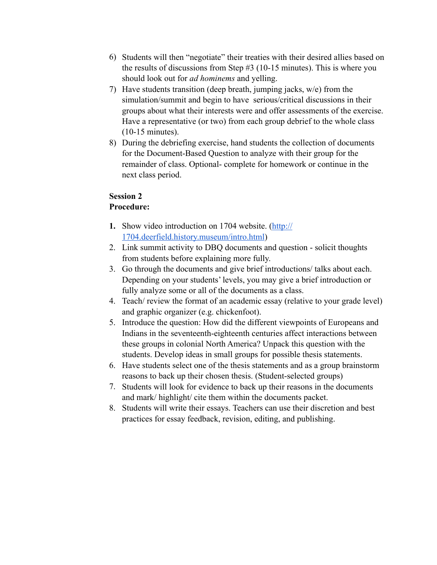- 6) Students will then "negotiate" their treaties with their desired allies based on the results of discussions from Step #3 (10-15 minutes). This is where you should look out for *ad hominems* and yelling.
- 7) Have students transition (deep breath, jumping jacks, w/e) from the simulation/summit and begin to have serious/critical discussions in their groups about what their interests were and offer assessments of the exercise. Have a representative (or two) from each group debrief to the whole class (10-15 minutes).
- 8) During the debriefing exercise, hand students the collection of documents for the Document-Based Question to analyze with their group for the remainder of class. Optional- complete for homework or continue in the next class period.

# **Session 2**

## **Procedure:**

- **1.** [Show video introduction on 1704 website. \(http://](http://1704.deerfield.history.museum/intro.html) 1704.deerfield.history.museum/intro.html)
- 2. Link summit activity to DBQ documents and question solicit thoughts from students before explaining more fully.
- 3. Go through the documents and give brief introductions/ talks about each. Depending on your students' levels, you may give a brief introduction or fully analyze some or all of the documents as a class.
- 4. Teach/ review the format of an academic essay (relative to your grade level) and graphic organizer (e.g. chickenfoot).
- 5. Introduce the question: How did the different viewpoints of Europeans and Indians in the seventeenth-eighteenth centuries affect interactions between these groups in colonial North America? Unpack this question with the students. Develop ideas in small groups for possible thesis statements.
- 6. Have students select one of the thesis statements and as a group brainstorm reasons to back up their chosen thesis. (Student-selected groups)
- 7. Students will look for evidence to back up their reasons in the documents and mark/ highlight/ cite them within the documents packet.
- 8. Students will write their essays. Teachers can use their discretion and best practices for essay feedback, revision, editing, and publishing.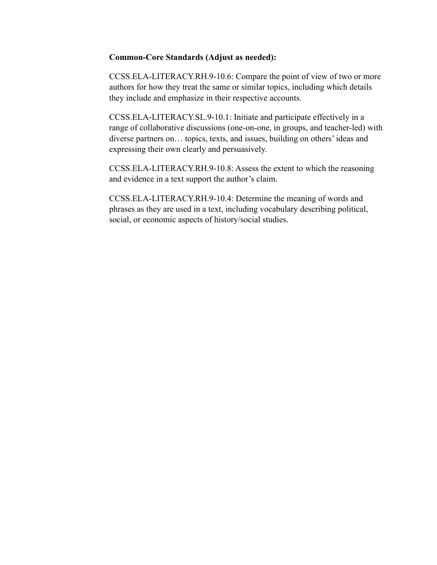### **Common-Core Standards (Adjust as needed):**

CCSS.ELA-LITERACY.RH.9-10.6: Compare the point of view of two or more authors for how they treat the same or similar topics, including which details they include and emphasize in their respective accounts.

CCSS.ELA-LITERACY.SL.9-10.1: Initiate and participate effectively in a range of collaborative discussions (one-on-one, in groups, and teacher-led) with diverse partners on… topics, texts, and issues, building on others' ideas and expressing their own clearly and persuasively.

CCSS.ELA-LITERACY.RH.9-10.8: Assess the extent to which the reasoning and evidence in a text support the author's claim.

CCSS.ELA-LITERACY.RH.9-10.4: Determine the meaning of words and phrases as they are used in a text, including vocabulary describing political, social, or economic aspects of history/social studies.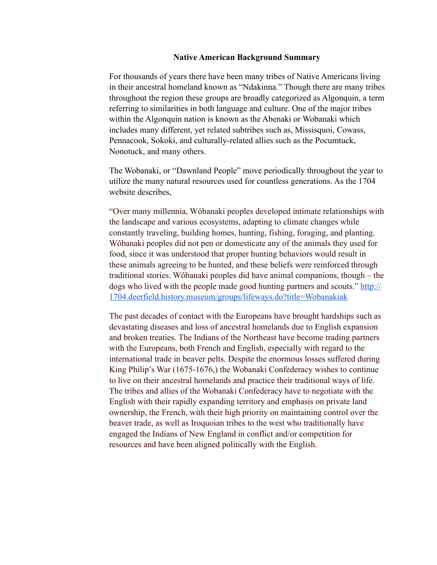### **Native American Background Summary**

For thousands of years there have been many tribes of Native Americans living in their ancestral homeland known as "Ndakinna." Though there are many tribes throughout the region these groups are broadly categorized as Algonquin, a term referring to similarities in both language and culture. One of the major tribes within the Algonquin nation is known as the Abenaki or Wobanaki which includes many different, yet related subtribes such as, Missisquoi, Cowass, Pennacook, Sokoki, and culturally-related allies such as the Pocumtuck, Nonotuck, and many others.

The Wobanaki, or "Dawnland People" move periodically throughout the year to utilize the many natural resources used for countless generations. As the 1704 website describes,

"Over many millennia, Wôbanaki peoples developed intimate relationships with the landscape and various ecosystems, adapting to climate changes while constantly traveling, building homes, hunting, fishing, foraging, and planting. Wôbanaki peoples did not pen or domesticate any of the animals they used for food, since it was understood that proper hunting behaviors would result in these animals agreeing to be hunted, and these beliefs were reinforced through traditional stories. Wôbanaki peoples did have animal companions, though – the [dogs who lived with the people made good hunting partners and scouts." http://](http://1704.deerfield.history.museum/groups/lifeways.do?title=Wobanakiak) 1704.deerfield.history.museum/groups/lifeways.do?title=Wobanakiak

The past decades of contact with the Europeans have brought hardships such as devastating diseases and loss of ancestral homelands due to English expansion and broken treaties. The Indians of the Northeast have become trading partners with the Europeans, both French and English, especially with regard to the international trade in beaver pelts. Despite the enormous losses suffered during King Philip's War (1675-1676,) the Wobanaki Confederacy wishes to continue to live on their ancestral homelands and practice their traditional ways of life. The tribes and allies of the Wobanaki Confederacy have to negotiate with the English with their rapidly expanding territory and emphasis on private land ownership, the French, with their high priority on maintaining control over the beaver trade, as well as Iroquoian tribes to the west who traditionally have engaged the Indians of New England in conflict and/or competition for resources and have been aligned politically with the English.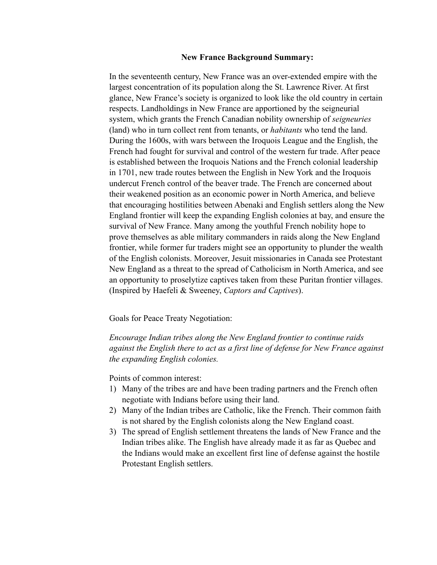### **New France Background Summary:**

In the seventeenth century, New France was an over-extended empire with the largest concentration of its population along the St. Lawrence River. At first glance, New France's society is organized to look like the old country in certain respects. Landholdings in New France are apportioned by the seigneurial system, which grants the French Canadian nobility ownership of *seigneuries* (land) who in turn collect rent from tenants, or *habitants* who tend the land. During the 1600s, with wars between the Iroquois League and the English, the French had fought for survival and control of the western fur trade. After peace is established between the Iroquois Nations and the French colonial leadership in 1701, new trade routes between the English in New York and the Iroquois undercut French control of the beaver trade. The French are concerned about their weakened position as an economic power in North America, and believe that encouraging hostilities between Abenaki and English settlers along the New England frontier will keep the expanding English colonies at bay, and ensure the survival of New France. Many among the youthful French nobility hope to prove themselves as able military commanders in raids along the New England frontier, while former fur traders might see an opportunity to plunder the wealth of the English colonists. Moreover, Jesuit missionaries in Canada see Protestant New England as a threat to the spread of Catholicism in North America, and see an opportunity to proselytize captives taken from these Puritan frontier villages. (Inspired by Haefeli & Sweeney, *Captors and Captives*).

Goals for Peace Treaty Negotiation:

*Encourage Indian tribes along the New England frontier to continue raids against the English there to act as a first line of defense for New France against the expanding English colonies.*

Points of common interest:

- 1) Many of the tribes are and have been trading partners and the French often negotiate with Indians before using their land.
- 2) Many of the Indian tribes are Catholic, like the French. Their common faith is not shared by the English colonists along the New England coast.
- 3) The spread of English settlement threatens the lands of New France and the Indian tribes alike. The English have already made it as far as Quebec and the Indians would make an excellent first line of defense against the hostile Protestant English settlers.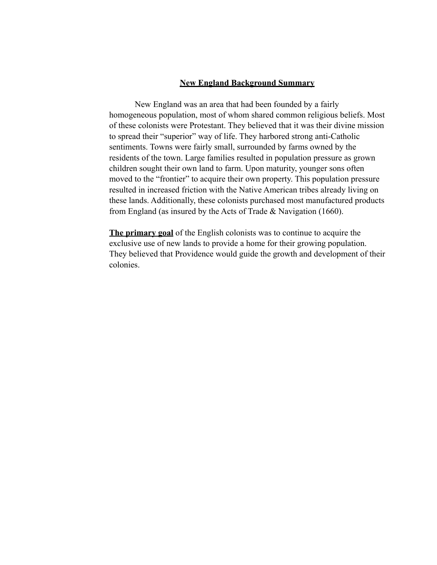### **New England Background Summary**

 New England was an area that had been founded by a fairly homogeneous population, most of whom shared common religious beliefs. Most of these colonists were Protestant. They believed that it was their divine mission to spread their "superior" way of life. They harbored strong anti-Catholic sentiments. Towns were fairly small, surrounded by farms owned by the residents of the town. Large families resulted in population pressure as grown children sought their own land to farm. Upon maturity, younger sons often moved to the "frontier" to acquire their own property. This population pressure resulted in increased friction with the Native American tribes already living on these lands. Additionally, these colonists purchased most manufactured products from England (as insured by the Acts of Trade & Navigation (1660).

**The primary goal** of the English colonists was to continue to acquire the exclusive use of new lands to provide a home for their growing population. They believed that Providence would guide the growth and development of their colonies.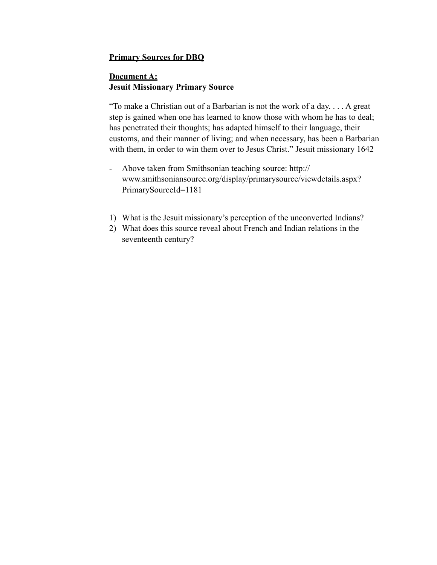### **Primary Sources for DBQ**

### **Document A: Jesuit Missionary Primary Source**

"To make a Christian out of a Barbarian is not the work of a day. . . . A great step is gained when one has learned to know those with whom he has to deal; has penetrated their thoughts; has adapted himself to their language, their customs, and their manner of living; and when necessary, has been a Barbarian with them, in order to win them over to Jesus Christ." Jesuit missionary 1642

- Above taken from Smithsonian teaching source: http:// www.smithsoniansource.org/display/primarysource/viewdetails.aspx? PrimarySourceId=1181
- 1) What is the Jesuit missionary's perception of the unconverted Indians?
- 2) What does this source reveal about French and Indian relations in the seventeenth century?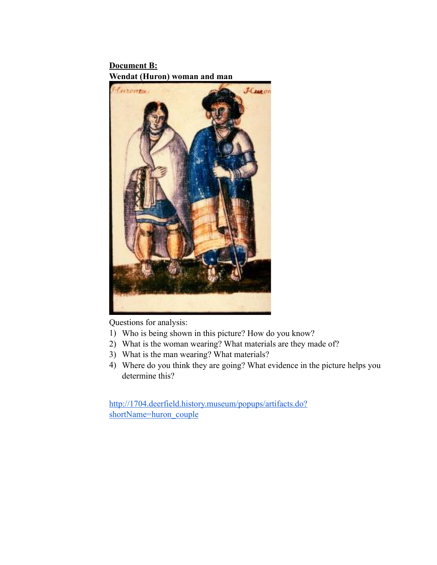**Document B: Wendat (Huron) woman and man**



Questions for analysis:

- 1) Who is being shown in this picture? How do you know?
- 2) What is the woman wearing? What materials are they made of?
- 3) What is the man wearing? What materials?
- 4) Where do you think they are going? What evidence in the picture helps you determine this?

[http://1704.deerfield.history.museum/popups/artifacts.do?](http://1704.deerfield.history.museum/popups/artifacts.do?shortName=huron_couple) shortName=huron\_couple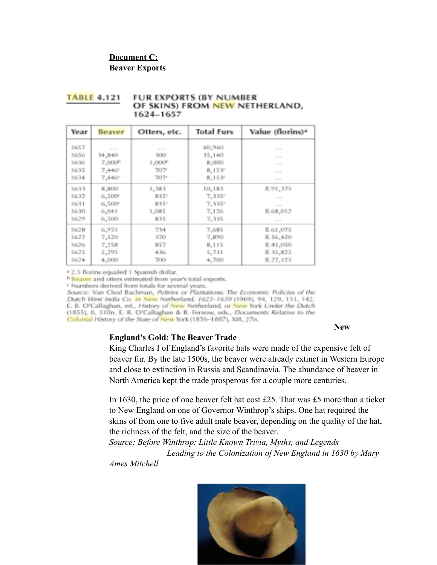# **Document C: Beaver Exports**

| . <del>.</del> |                    |                    |                   |                              |
|----------------|--------------------|--------------------|-------------------|------------------------------|
| Year           | Beaver             | Otters, etc.       | <b>Total Furs</b> | Value (florins) <sup>a</sup> |
| 1657           | $-1000$            | $-7.7.7$           | 40,940            | $-7.7.7$                     |
| 1656           | 34,840             | 300                | 35,140            |                              |
| 1636           | 7,000 <sup>b</sup> | 1,000 <sup>b</sup> | 8,000             | $-1.11$                      |
| 1635           | 7,446°             | 707-               | 8,153°            |                              |
| 1634           | 7,446°             | 707-               | 8,1539            |                              |
| 1633           | 8,800              | 1,383              | 10,183            | fl.91,375                    |
| 1632           | 6,500°             | 835°               | 7,335°            | $-1111$                      |
| 1631           | 6,500°             | 835%               | 7,335°            | $-24.4$                      |
| 1630           | 6,041              | 1,085              | 7,126             | fl.68,012                    |
| 1629           | 6,500              | 835                | 7,335             |                              |
| 1628           | 6,951              | 734                | 7,685             | fl.61,075                    |
| 1627           | 7,520              | 370                | 7,890             | fl.56,420                    |
| 1626           | 7,258              | 857                | 8,115             | fl.45,050                    |
| 1625           | 5,295              | 436                | 5,731             | fl. 35,825                   |
| 1624           | 4,000              | 700                | 4,700             | 8.27,125                     |

#### **TABLE 4.121 FUR EXPORTS (BY NUMBER** OF SKINS) FROM NEW NETHERLAND, 1624-1657

<sup>a</sup> 2.5 florins equaled 1 Spanish dollar.

<sup>b</sup> Beaver and otters estimated from year's total exports.

<sup>c</sup> Numbers derived from totals for several years.

Source: Van Cleaf Bachman, Peltries or Plantations: The Economic Policies of the Dutch West India Co. in New Netherland, 1623-1639 (1969), 94, 129, 131, 142. E. B. O'Callaghan, ed., History of New Netherland, or New York Under the Dutch (1855), II, 310n. E. B. O'Callaghan & B. Fernow, eds., Documents Relative to the Colonial History of the State of New York (1856-1887), XIII, 27n.

**New** 

## **England's Gold: The Beaver Trade**

King Charles I of England's favorite hats were made of the expensive felt of beaver fur. By the late 1500s, the beaver were already extinct in Western Europe and close to extinction in Russia and Scandinavia. The abundance of beaver in North America kept the trade prosperous for a couple more centuries.

In 1630, the price of one beaver felt hat cost £25. That was £5 more than a ticket to New England on one of Governor Winthrop's ships. One hat required the skins of from one to five adult male beaver, depending on the quality of the hat, the richness of the felt, and the size of the beaver.

*Source: Before Winthrop: Little Known Trivia, Myths, and Legends Leading to the Colonization of New England in 1630 by Mary* 

*Ames Mitchell*

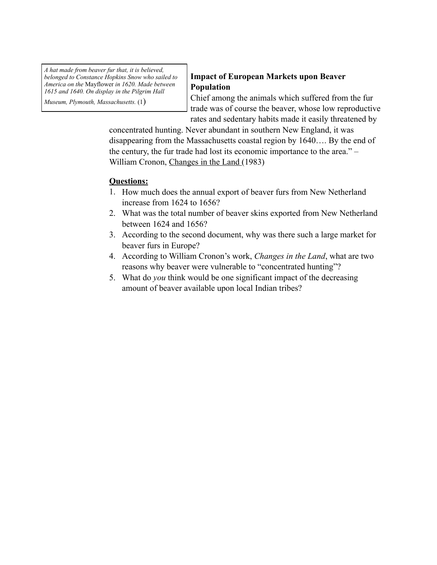*A hat made from beaver fur that, it is believed, belonged to Constance Hopkins Snow who sailed to America on the* Mayflower *in 1620. Made between 1615 and 1640. On display in the Pilgrim Hall* 

*Museum, Plymouth, Massachusetts.* (1)

## **Impact of European Markets upon Beaver Population**

Chief among the animals which suffered from the fur trade was of course the beaver, whose low reproductive rates and sedentary habits made it easily threatened by

concentrated hunting. Never abundant in southern New England, it was disappearing from the Massachusetts coastal region by 1640…. By the end of the century, the fur trade had lost its economic importance to the area." – William Cronon, Changes in the Land (1983)

# **Questions:**

- 1. How much does the annual export of beaver furs from New Netherland increase from 1624 to 1656?
- 2. What was the total number of beaver skins exported from New Netherland between 1624 and 1656?
- 3. According to the second document, why was there such a large market for beaver furs in Europe?
- 4. According to William Cronon's work, *Changes in the Land*, what are two reasons why beaver were vulnerable to "concentrated hunting"?
- 5. What do *you* think would be one significant impact of the decreasing amount of beaver available upon local Indian tribes?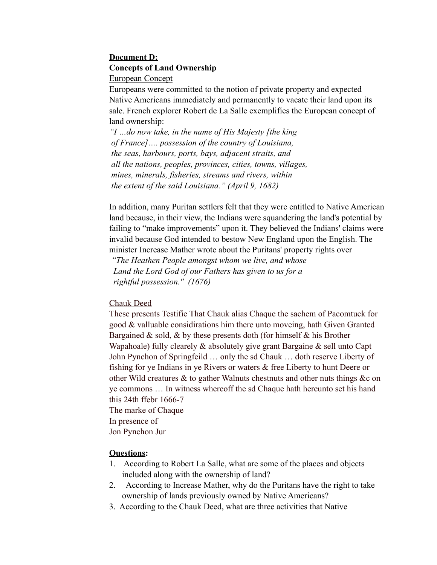# **Document D: Concepts of Land Ownership**

European Concept

Europeans were committed to the notion of private property and expected Native Americans immediately and permanently to vacate their land upon its sale. French explorer Robert de La Salle exemplifies the European concept of land ownership:

*"I …do now take, in the name of His Majesty [the king of France]…. possession of the country of Louisiana, the seas, harbours, ports, bays, adjacent straits, and all the nations, peoples, provinces, cities, towns, villages, mines, minerals, fisheries, streams and rivers, within the extent of the said Louisiana." (April 9, 1682)*

In addition, many Puritan settlers felt that they were entitled to Native American land because, in their view, the Indians were squandering the land's potential by failing to "make improvements" upon it. They believed the Indians' claims were invalid because God intended to bestow New England upon the English. The minister Increase Mather wrote about the Puritans' property rights over

 *"The Heathen People amongst whom we live, and whose Land the Lord God of our Fathers has given to us for a rightful possession." (1676)*

## Chauk Deed

These presents Testifie That Chauk alias Chaque the sachem of Pacomtuck for good & valluable considirations him there unto moveing, hath Given Granted Bargained  $\&$  sold,  $\&$  by these presents doth (for himself  $\&$  his Brother Wapahoale) fully clearely & absolutely give grant Bargaine & sell unto Capt John Pynchon of Springfeild … only the sd Chauk … doth reserve Liberty of fishing for ye Indians in ye Rivers or waters & free Liberty to hunt Deere or other Wild creatures & to gather Walnuts chestnuts and other nuts things &c on ye commons … In witness whereoff the sd Chaque hath hereunto set his hand this 24th ffebr 1666-7 The marke of Chaque

In presence of

Jon Pynchon Jur

## **Questions:**

- 1. According to Robert La Salle, what are some of the places and objects included along with the ownership of land?
- 2. According to Increase Mather, why do the Puritans have the right to take ownership of lands previously owned by Native Americans?
- 3. According to the Chauk Deed, what are three activities that Native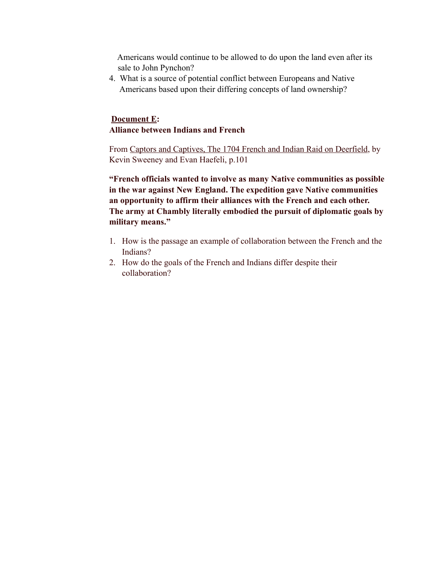Americans would continue to be allowed to do upon the land even after its sale to John Pynchon?

4. What is a source of potential conflict between Europeans and Native Americans based upon their differing concepts of land ownership?

## **Document E: Alliance between Indians and French**

From Captors and Captives, The 1704 French and Indian Raid on Deerfield, by Kevin Sweeney and Evan Haefeli, p.101

**"French officials wanted to involve as many Native communities as possible in the war against New England. The expedition gave Native communities an opportunity to affirm their alliances with the French and each other. The army at Chambly literally embodied the pursuit of diplomatic goals by military means."**

- 1. How is the passage an example of collaboration between the French and the Indians?
- 2. How do the goals of the French and Indians differ despite their collaboration?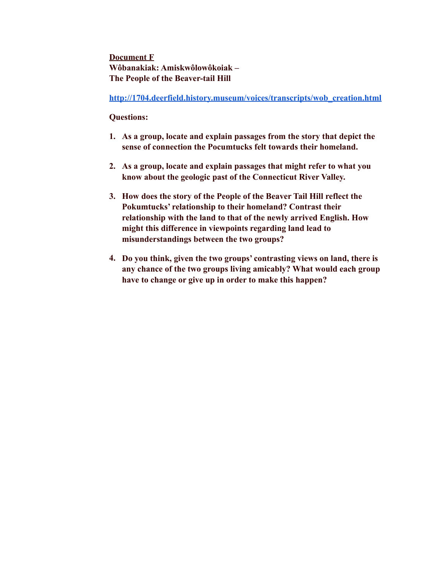**Document F Wôbanakiak: Amiskwôlowôkoiak – The People of the Beaver-tail Hill**

**[http://1704.deerfield.history.museum/voices/transcripts/wob\\_creation.html](http://1704.deerfield.history.museum/voices/transcripts/wob_creation.html)**

### **Questions:**

- **1. As a group, locate and explain passages from the story that depict the sense of connection the Pocumtucks felt towards their homeland.**
- **2. As a group, locate and explain passages that might refer to what you know about the geologic past of the Connecticut River Valley.**
- **3. How does the story of the People of the Beaver Tail Hill reflect the Pokumtucks' relationship to their homeland? Contrast their relationship with the land to that of the newly arrived English. How might this difference in viewpoints regarding land lead to misunderstandings between the two groups?**
- **4. Do you think, given the two groups' contrasting views on land, there is any chance of the two groups living amicably? What would each group have to change or give up in order to make this happen?**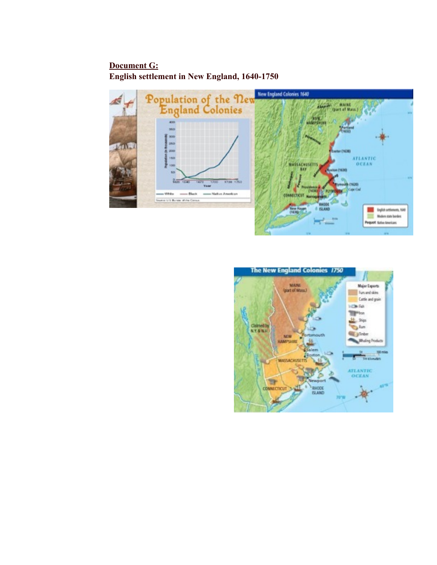**Document G: English settlement in New England, 1640-1750**



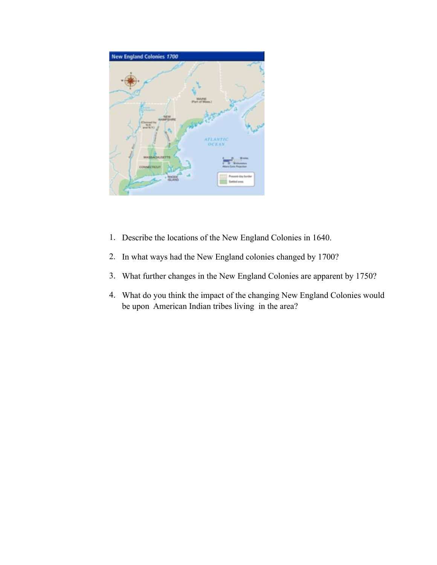

- 1. Describe the locations of the New England Colonies in 1640.
- 2. In what ways had the New England colonies changed by 1700?
- 3. What further changes in the New England Colonies are apparent by 1750?
- 4. What do you think the impact of the changing New England Colonies would be upon American Indian tribes living in the area?